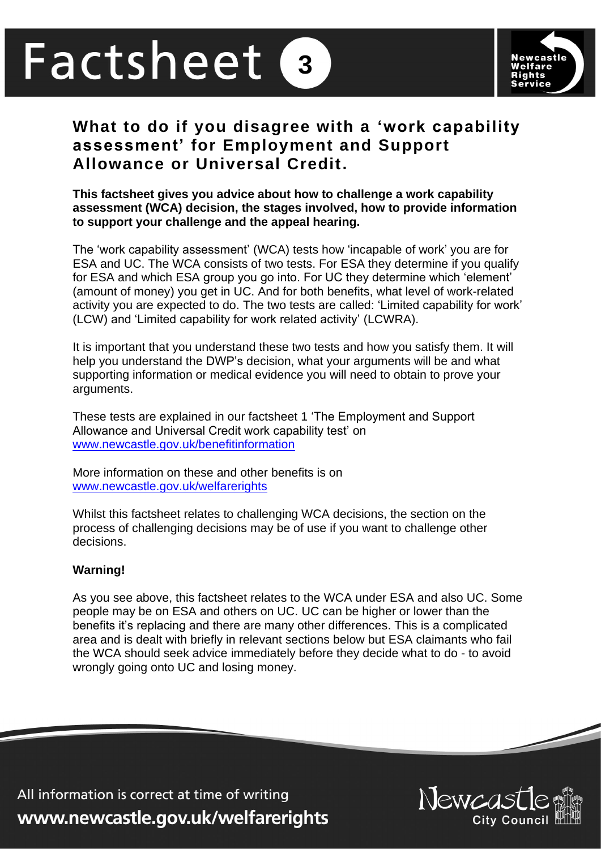# Factsheet **3**



# **What to do if you disagree with a 'work capability assessment' for Employment and Support Allowance or Universal Credit.**

**This factsheet gives you advice about how to challenge a work capability assessment (WCA) decision, the stages involved, how to provide information to support your challenge and the appeal hearing.** 

The 'work capability assessment' (WCA) tests how 'incapable of work' you are for ESA and UC. The WCA consists of two tests. For ESA they determine if you qualify for ESA and which ESA group you go into. For UC they determine which 'element' (amount of money) you get in UC. And for both benefits, what level of work-related activity you are expected to do. The two tests are called: 'Limited capability for work' (LCW) and 'Limited capability for work related activity' (LCWRA).

It is important that you understand these two tests and how you satisfy them. It will help you understand the DWP's decision, what your arguments will be and what supporting information or medical evidence you will need to obtain to prove your arguments.

These tests are explained in our factsheet 1 'The Employment and Support Allowance and Universal Credit work capability test' on [www.newcastle.gov.uk/benefitinformation](http://www.newcastle.gov.uk/benefitinformation)

More information on these and other benefits is on [www.newcastle.gov.uk/welfarerights](http://www.newcastle.gov.uk/welfarerights) 

Whilst this factsheet relates to challenging WCA decisions, the section on the process of challenging decisions may be of use if you want to challenge other decisions.

#### **Warning!**

As you see above, this factsheet relates to the WCA under ESA and also UC. Some people may be on ESA and others on UC. UC can be higher or lower than the benefits it's replacing and there are many other differences. This is a complicated area and is dealt with briefly in relevant sections below but ESA claimants who fail the WCA should seek advice immediately before they decide what to do - to avoid wrongly going onto UC and losing money.

All information is correct at time of writing www.newcastle.gov.uk/welfarerights

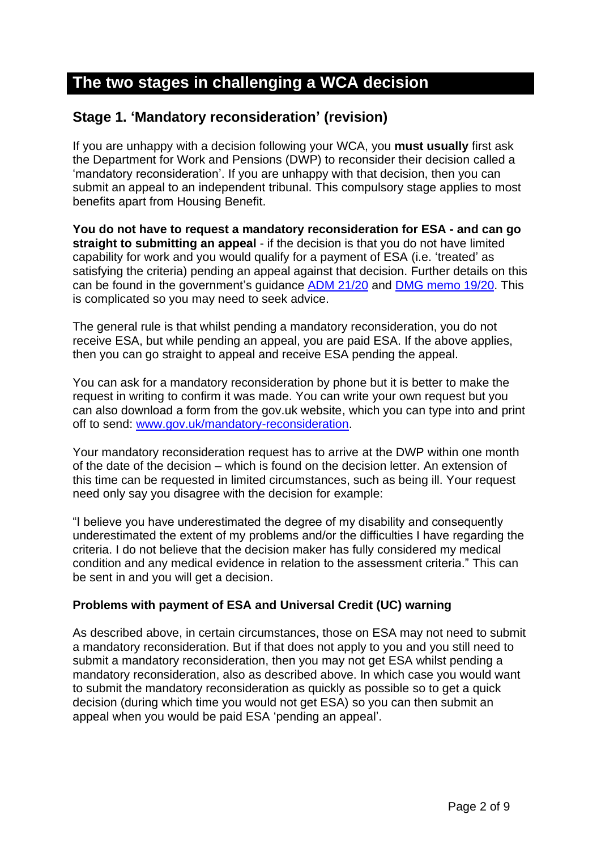# **The two stages in challenging a WCA decision**

## **Stage 1. 'Mandatory reconsideration' (revision)**

If you are unhappy with a decision following your WCA, you **must usually** first ask the Department for Work and Pensions (DWP) to reconsider their decision called a 'mandatory reconsideration'. If you are unhappy with that decision, then you can submit an appeal to an independent tribunal. This compulsory stage applies to most benefits apart from Housing Benefit.

**You do not have to request a mandatory reconsideration for ESA - and can go straight to submitting an appeal** - if the decision is that you do not have limited capability for work and you would qualify for a payment of ESA (i.e. 'treated' as satisfying the criteria) pending an appeal against that decision. Further details on this can be found in the government's guidance [ADM 21/20](https://www.gov.uk/government/publications/advice-for-decision-making-staff-guide) and [DMG memo 19/20.](https://www.gov.uk/government/publications/decision-makers-guide-memos-staff-guide) This is complicated so you may need to seek advice.

The general rule is that whilst pending a mandatory reconsideration, you do not receive ESA, but while pending an appeal, you are paid ESA. If the above applies, then you can go straight to appeal and receive ESA pending the appeal.

You can ask for a mandatory reconsideration by phone but it is better to make the request in writing to confirm it was made. You can write your own request but you can also download a form from the gov.uk website, which you can type into and print off to send: [www.gov.uk/mandatory-reconsideration.](http://www.gov.uk/mandatory-reconsideration)

Your mandatory reconsideration request has to arrive at the DWP within one month of the date of the decision – which is found on the decision letter. An extension of this time can be requested in limited circumstances, such as being ill. Your request need only say you disagree with the decision for example:

"I believe you have underestimated the degree of my disability and consequently underestimated the extent of my problems and/or the difficulties I have regarding the criteria. I do not believe that the decision maker has fully considered my medical condition and any medical evidence in relation to the assessment criteria." This can be sent in and you will get a decision.

### **Problems with payment of ESA and Universal Credit (UC) warning**

As described above, in certain circumstances, those on ESA may not need to submit a mandatory reconsideration. But if that does not apply to you and you still need to submit a mandatory reconsideration, then you may not get ESA whilst pending a mandatory reconsideration, also as described above. In which case you would want to submit the mandatory reconsideration as quickly as possible so to get a quick decision (during which time you would not get ESA) so you can then submit an appeal when you would be paid ESA 'pending an appeal'.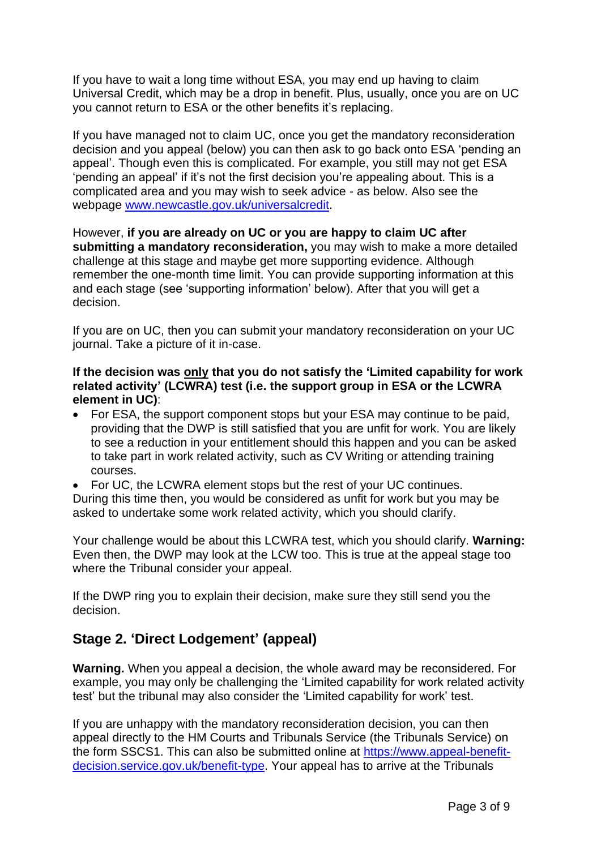If you have to wait a long time without ESA, you may end up having to claim Universal Credit, which may be a drop in benefit. Plus, usually, once you are on UC you cannot return to ESA or the other benefits it's replacing.

If you have managed not to claim UC, once you get the mandatory reconsideration decision and you appeal (below) you can then ask to go back onto ESA 'pending an appeal'. Though even this is complicated. For example, you still may not get ESA 'pending an appeal' if it's not the first decision you're appealing about. This is a complicated area and you may wish to seek advice - as below. Also see the webpage [www.newcastle.gov.uk/universalcredit.](http://www.newcastle.gov.uk/universalcredit)

However, **if you are already on UC or you are happy to claim UC after submitting a mandatory reconsideration,** you may wish to make a more detailed challenge at this stage and maybe get more supporting evidence. Although remember the one-month time limit. You can provide supporting information at this and each stage (see 'supporting information' below). After that you will get a decision.

If you are on UC, then you can submit your mandatory reconsideration on your UC journal. Take a picture of it in-case.

#### **If the decision was only that you do not satisfy the 'Limited capability for work related activity' (LCWRA) test (i.e. the support group in ESA or the LCWRA element in UC)**:

- For ESA, the support component stops but your ESA may continue to be paid, providing that the DWP is still satisfied that you are unfit for work. You are likely to see a reduction in your entitlement should this happen and you can be asked to take part in work related activity, such as CV Writing or attending training courses.
- For UC, the LCWRA element stops but the rest of your UC continues.

During this time then, you would be considered as unfit for work but you may be asked to undertake some work related activity, which you should clarify.

Your challenge would be about this LCWRA test, which you should clarify. **Warning:** Even then, the DWP may look at the LCW too. This is true at the appeal stage too where the Tribunal consider your appeal.

If the DWP ring you to explain their decision, make sure they still send you the decision.

### **Stage 2. 'Direct Lodgement' (appeal)**

**Warning.** When you appeal a decision, the whole award may be reconsidered. For example, you may only be challenging the 'Limited capability for work related activity test' but the tribunal may also consider the 'Limited capability for work' test.

If you are unhappy with the mandatory reconsideration decision, you can then appeal directly to the HM Courts and Tribunals Service (the Tribunals Service) on the form SSCS1. This can also be submitted online at [https://www.appeal-benefit](https://www.appeal-benefit-decision.service.gov.uk/benefit-type)[decision.service.gov.uk/benefit-type.](https://www.appeal-benefit-decision.service.gov.uk/benefit-type) Your appeal has to arrive at the Tribunals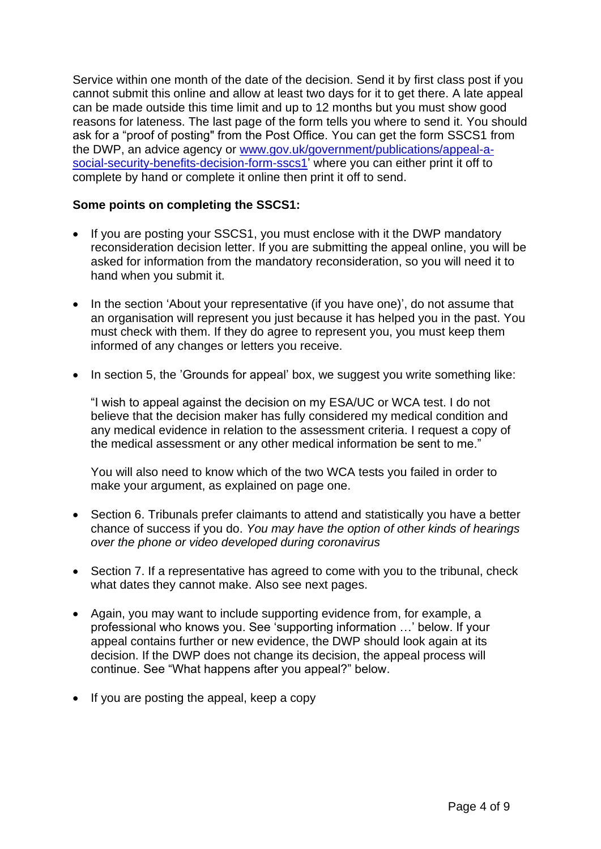Service within one month of the date of the decision. Send it by first class post if you cannot submit this online and allow at least two days for it to get there. A late appeal can be made outside this time limit and up to 12 months but you must show good reasons for lateness. The last page of the form tells you where to send it. You should ask for a "proof of posting" from the Post Office. You can get the form SSCS1 from the DWP, an advice agency or [www.gov.uk/government/publications/appeal-a](http://www.gov.uk/government/publications/appeal-a-social-security-benefits-decision-form-sscs1)[social-security-benefits-decision-form-sscs1'](http://www.gov.uk/government/publications/appeal-a-social-security-benefits-decision-form-sscs1) where you can either print it off to complete by hand or complete it online then print it off to send.

#### **Some points on completing the SSCS1:**

- If you are posting your SSCS1, you must enclose with it the DWP mandatory reconsideration decision letter. If you are submitting the appeal online, you will be asked for information from the mandatory reconsideration, so you will need it to hand when you submit it.
- In the section 'About your representative (if you have one)', do not assume that an organisation will represent you just because it has helped you in the past. You must check with them. If they do agree to represent you, you must keep them informed of any changes or letters you receive.
- In section 5, the 'Grounds for appeal' box, we suggest you write something like:

"I wish to appeal against the decision on my ESA/UC or WCA test. I do not believe that the decision maker has fully considered my medical condition and any medical evidence in relation to the assessment criteria. I request a copy of the medical assessment or any other medical information be sent to me."

You will also need to know which of the two WCA tests you failed in order to make your argument, as explained on page one.

- Section 6. Tribunals prefer claimants to attend and statistically you have a better chance of success if you do. *You may have the option of other kinds of hearings over the phone or video developed during coronavirus*
- Section 7. If a representative has agreed to come with you to the tribunal, check what dates they cannot make. Also see next pages.
- Again, you may want to include supporting evidence from, for example, a professional who knows you. See 'supporting information …' below. If your appeal contains further or new evidence, the DWP should look again at its decision. If the DWP does not change its decision, the appeal process will continue. See "What happens after you appeal?" below.
- If you are posting the appeal, keep a copy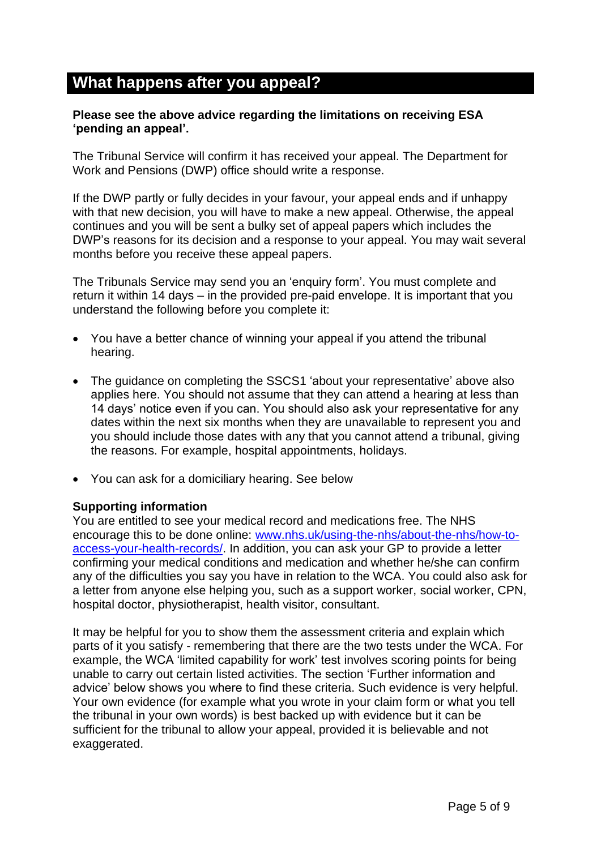# **What happens after you appeal?**

#### **Please see the above advice regarding the limitations on receiving ESA 'pending an appeal'.**

The Tribunal Service will confirm it has received your appeal. The Department for Work and Pensions (DWP) office should write a response.

If the DWP partly or fully decides in your favour, your appeal ends and if unhappy with that new decision, you will have to make a new appeal. Otherwise, the appeal continues and you will be sent a bulky set of appeal papers which includes the DWP's reasons for its decision and a response to your appeal. You may wait several months before you receive these appeal papers.

The Tribunals Service may send you an 'enquiry form'. You must complete and return it within 14 days – in the provided pre-paid envelope. It is important that you understand the following before you complete it:

- You have a better chance of winning your appeal if you attend the tribunal hearing.
- The guidance on completing the SSCS1 'about your representative' above also applies here. You should not assume that they can attend a hearing at less than 14 days' notice even if you can. You should also ask your representative for any dates within the next six months when they are unavailable to represent you and you should include those dates with any that you cannot attend a tribunal, giving the reasons. For example, hospital appointments, holidays.
- You can ask for a domiciliary hearing. See below

#### **Supporting information**

You are entitled to see your medical record and medications free. The NHS encourage this to be done online: [www.nhs.uk/using-the-nhs/about-the-nhs/how-to](http://www.nhs.uk/using-the-nhs/about-the-nhs/how-to-access-your-health-records/)[access-your-health-records/.](http://www.nhs.uk/using-the-nhs/about-the-nhs/how-to-access-your-health-records/) In addition, you can ask your GP to provide a letter confirming your medical conditions and medication and whether he/she can confirm any of the difficulties you say you have in relation to the WCA. You could also ask for a letter from anyone else helping you, such as a support worker, social worker, CPN, hospital doctor, physiotherapist, health visitor, consultant.

It may be helpful for you to show them the assessment criteria and explain which parts of it you satisfy - remembering that there are the two tests under the WCA. For example, the WCA 'limited capability for work' test involves scoring points for being unable to carry out certain listed activities. The section 'Further information and advice' below shows you where to find these criteria. Such evidence is very helpful. Your own evidence (for example what you wrote in your claim form or what you tell the tribunal in your own words) is best backed up with evidence but it can be sufficient for the tribunal to allow your appeal, provided it is believable and not exaggerated.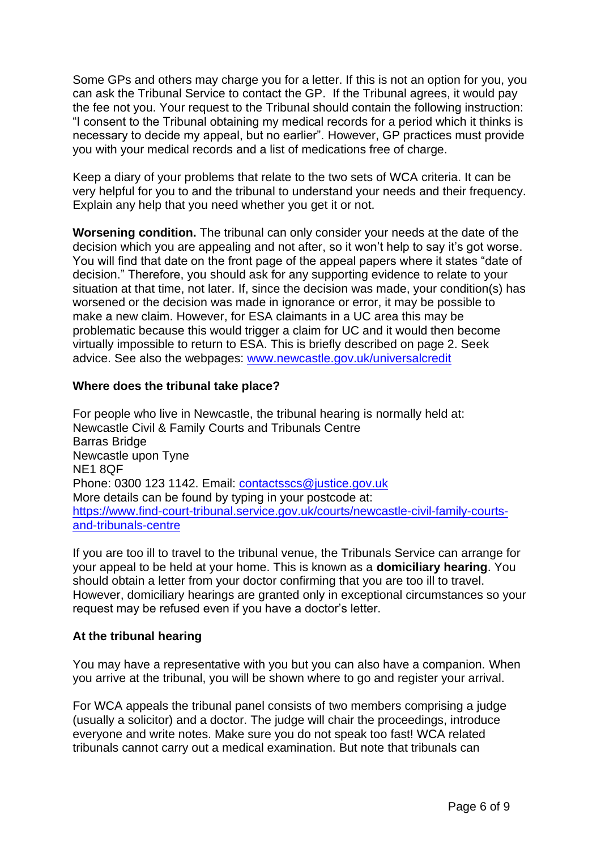Some GPs and others may charge you for a letter. If this is not an option for you, you can ask the Tribunal Service to contact the GP. If the Tribunal agrees, it would pay the fee not you. Your request to the Tribunal should contain the following instruction: "I consent to the Tribunal obtaining my medical records for a period which it thinks is necessary to decide my appeal, but no earlier". However, GP practices must provide you with your medical records and a list of medications free of charge.

Keep a diary of your problems that relate to the two sets of WCA criteria. It can be very helpful for you to and the tribunal to understand your needs and their frequency. Explain any help that you need whether you get it or not.

**Worsening condition.** The tribunal can only consider your needs at the date of the decision which you are appealing and not after, so it won't help to say it's got worse. You will find that date on the front page of the appeal papers where it states "date of decision." Therefore, you should ask for any supporting evidence to relate to your situation at that time, not later. If, since the decision was made, your condition(s) has worsened or the decision was made in ignorance or error, it may be possible to make a new claim. However, for ESA claimants in a UC area this may be problematic because this would trigger a claim for UC and it would then become virtually impossible to return to ESA. This is briefly described on page 2. Seek advice. See also the webpages: [www.newcastle.gov.uk/universalcredit](http://www.newcastle.gov.uk/universalcredit)

#### **Where does the tribunal take place?**

For people who live in Newcastle, the tribunal hearing is normally held at: Newcastle Civil & Family Courts and Tribunals Centre Barras Bridge Newcastle upon Tyne NE1 8QF Phone: 0300 123 1142. Email: [contactsscs@justice.gov.uk](mailto:contactsscs@justice.gov.uk) More details can be found by typing in your postcode at: [https://www.find-court-tribunal.service.gov.uk/courts/newcastle-civil-family-courts](https://www.find-court-tribunal.service.gov.uk/courts/newcastle-civil-family-courts-and-tribunals-centre)[and-tribunals-centre](https://www.find-court-tribunal.service.gov.uk/courts/newcastle-civil-family-courts-and-tribunals-centre)

If you are too ill to travel to the tribunal venue, the Tribunals Service can arrange for your appeal to be held at your home. This is known as a **domiciliary hearing**. You should obtain a letter from your doctor confirming that you are too ill to travel. However, domiciliary hearings are granted only in exceptional circumstances so your request may be refused even if you have a doctor's letter.

#### **At the tribunal hearing**

You may have a representative with you but you can also have a companion. When you arrive at the tribunal, you will be shown where to go and register your arrival.

For WCA appeals the tribunal panel consists of two members comprising a judge (usually a solicitor) and a doctor. The judge will chair the proceedings, introduce everyone and write notes. Make sure you do not speak too fast! WCA related tribunals cannot carry out a medical examination. But note that tribunals can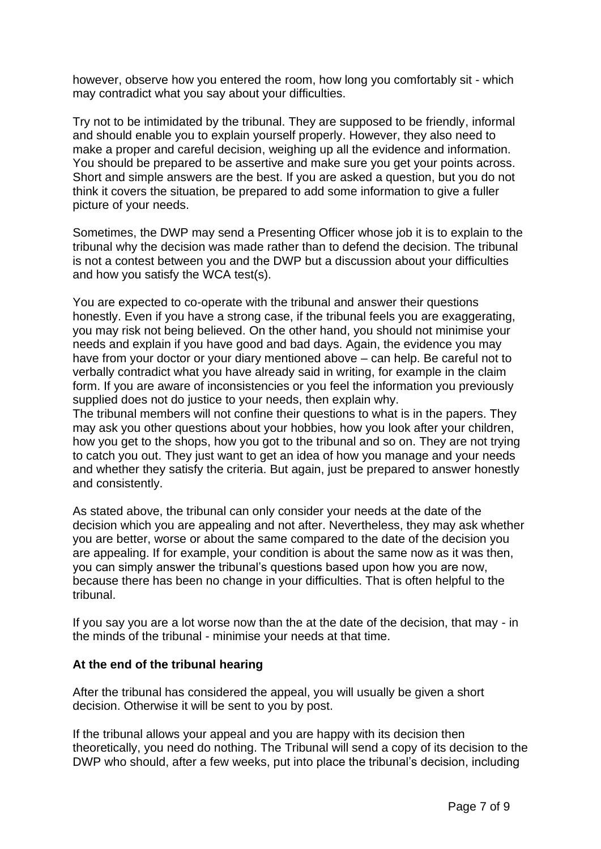however, observe how you entered the room, how long you comfortably sit - which may contradict what you say about your difficulties.

Try not to be intimidated by the tribunal. They are supposed to be friendly, informal and should enable you to explain yourself properly. However, they also need to make a proper and careful decision, weighing up all the evidence and information. You should be prepared to be assertive and make sure you get your points across. Short and simple answers are the best. If you are asked a question, but you do not think it covers the situation, be prepared to add some information to give a fuller picture of your needs.

Sometimes, the DWP may send a Presenting Officer whose job it is to explain to the tribunal why the decision was made rather than to defend the decision. The tribunal is not a contest between you and the DWP but a discussion about your difficulties and how you satisfy the WCA test(s).

You are expected to co-operate with the tribunal and answer their questions honestly. Even if you have a strong case, if the tribunal feels you are exaggerating, you may risk not being believed. On the other hand, you should not minimise your needs and explain if you have good and bad days. Again, the evidence you may have from your doctor or your diary mentioned above – can help. Be careful not to verbally contradict what you have already said in writing, for example in the claim form. If you are aware of inconsistencies or you feel the information you previously supplied does not do justice to your needs, then explain why.

The tribunal members will not confine their questions to what is in the papers. They may ask you other questions about your hobbies, how you look after your children, how you get to the shops, how you got to the tribunal and so on. They are not trying to catch you out. They just want to get an idea of how you manage and your needs and whether they satisfy the criteria. But again, just be prepared to answer honestly and consistently.

As stated above, the tribunal can only consider your needs at the date of the decision which you are appealing and not after. Nevertheless, they may ask whether you are better, worse or about the same compared to the date of the decision you are appealing. If for example, your condition is about the same now as it was then, you can simply answer the tribunal's questions based upon how you are now, because there has been no change in your difficulties. That is often helpful to the tribunal.

If you say you are a lot worse now than the at the date of the decision, that may - in the minds of the tribunal - minimise your needs at that time.

#### **At the end of the tribunal hearing**

After the tribunal has considered the appeal, you will usually be given a short decision. Otherwise it will be sent to you by post.

If the tribunal allows your appeal and you are happy with its decision then theoretically, you need do nothing. The Tribunal will send a copy of its decision to the DWP who should, after a few weeks, put into place the tribunal's decision, including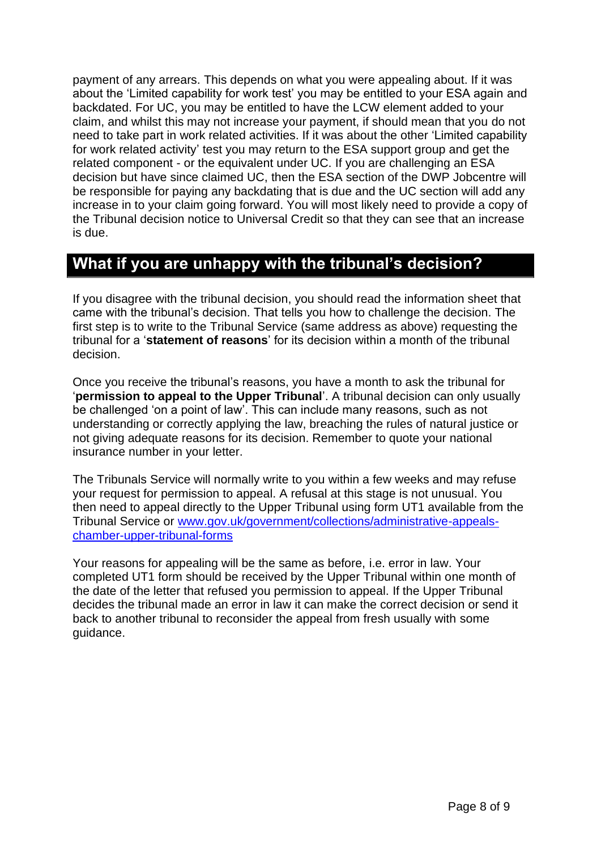payment of any arrears. This depends on what you were appealing about. If it was about the 'Limited capability for work test' you may be entitled to your ESA again and backdated. For UC, you may be entitled to have the LCW element added to your claim, and whilst this may not increase your payment, if should mean that you do not need to take part in work related activities. If it was about the other 'Limited capability for work related activity' test you may return to the ESA support group and get the related component - or the equivalent under UC. If you are challenging an ESA decision but have since claimed UC, then the ESA section of the DWP Jobcentre will be responsible for paying any backdating that is due and the UC section will add any increase in to your claim going forward. You will most likely need to provide a copy of the Tribunal decision notice to Universal Credit so that they can see that an increase is due.

# **What if you are unhappy with the tribunal's decision?**

If you disagree with the tribunal decision, you should read the information sheet that came with the tribunal's decision. That tells you how to challenge the decision. The first step is to write to the Tribunal Service (same address as above) requesting the tribunal for a '**statement of reasons**' for its decision within a month of the tribunal decision.

Once you receive the tribunal's reasons, you have a month to ask the tribunal for '**permission to appeal to the Upper Tribunal**'. A tribunal decision can only usually be challenged 'on a point of law'. This can include many reasons, such as not understanding or correctly applying the law, breaching the rules of natural justice or not giving adequate reasons for its decision. Remember to quote your national insurance number in your letter.

The Tribunals Service will normally write to you within a few weeks and may refuse your request for permission to appeal. A refusal at this stage is not unusual. You then need to appeal directly to the Upper Tribunal using form UT1 available from the Tribunal Service or [www.gov.uk/government/collections/administrative-appeals](http://www.gov.uk/government/collections/administrative-appeals-chamber-upper-tribunal-forms)[chamber-upper-tribunal-forms](http://www.gov.uk/government/collections/administrative-appeals-chamber-upper-tribunal-forms)

Your reasons for appealing will be the same as before, i.e. error in law. Your completed UT1 form should be received by the Upper Tribunal within one month of the date of the letter that refused you permission to appeal. If the Upper Tribunal decides the tribunal made an error in law it can make the correct decision or send it back to another tribunal to reconsider the appeal from fresh usually with some guidance.